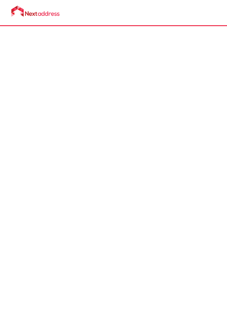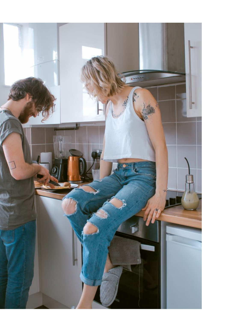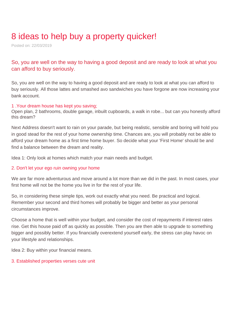# 8 ideas to help buy a property quicker!

Posted on: 22/03/2019

## So, you are well on the way to having a good deposit and are ready to look at what you can afford to buy seriously.

So, you are well on the way to having a good deposit and are ready to look at what you can afford to buy seriously. All those lattes and smashed avo sandwiches you have forgone are now increasing your bank account.

#### 1 .Your dream house has kept you saving;

Open plan, 2 bathrooms, double garage, inbuilt cupboards, a walk in robe... but can you honestly afford this dream?

Next Address doesn't want to rain on your parade, but being realistic, sensible and boring will hold you in good stead for the rest of your home ownership time. Chances are, you will probably not be able to afford your dream home as a first time home buyer. So decide what your 'First Home' should be and find a balance between the dream and reality.

Idea 1: Only look at homes which match your main needs and budget.

## 2. Don't let your ego ruin owning your home

We are far more adventurous and move around a lot more than we did in the past. In most cases, your first home will not be the home you live in for the rest of your life.

So, in considering these simple tips, work out exactly what you need. Be practical and logical. Remember your second and third homes will probably be bigger and better as your personal circumstances improve.

Choose a home that is well within your budget, and consider the cost of repayments if interest rates rise. Get this house paid off as quickly as possible. Then you are then able to upgrade to something bigger and possibly better. If you financially overextend yourself early, the stress can play havoc on your lifestyle and relationships.

Idea 2: Buy within your financial means.

## 3. Established properties verses cute unit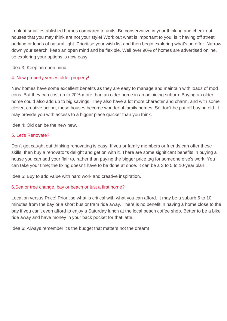Look at small established homes compared to units. Be conservative in your thinking and check out houses that you may think are not your style! Work out what is important to you: is it having off street parking or loads of natural light. Prioritise your wish list and then begin exploring what's on offer. Narrow down your search, keep an open mind and be flexible. Well over 90% of homes are advertised online, so exploring your options is now easy.

Idea 3: Keep an open mind.

## 4. New property verses older property!

New homes have some excellent benefits as they are easy to manage and maintain with loads of mod cons. But they can cost up to 20% more than an older home in an adjoining suburb. Buying an older home could also add up to big savings. They also have a lot more character and charm, and with some clever, creative action, these houses become wonderful family homes. So don't be put off buying old. It may provide you with access to a bigger place quicker than you think.

Idea 4: Old can be the new new.

## 5. Let's Renovate?

Don't get caught out thinking renovating is easy. If you or family members or friends can offer these skills, then buy a renovator's delight and get on with it. There are some significant benefits in buying a house you can add your flair to, rather than paying the bigger price tag for someone else's work. You can take your time; the fixing doesn't have to be done at once. It can be a 3 to 5 to 10-year plan.

Idea 5: Buy to add value with hard work and creative inspiration.

## 6.Sea or tree change, bay or beach or just a first home?

Location versus Price! Prioritise what is critical with what you can afford. It may be a suburb 5 to 10 minutes from the bay or a short bus or tram ride away. There is no benefit in having a home close to the bay if you can't even afford to enjoy a Saturday lunch at the local beach coffee shop. Better to be a bike ride away and have money in your back pocket for that latte.

Idea 6: Always remember it's the budget that matters not the dream!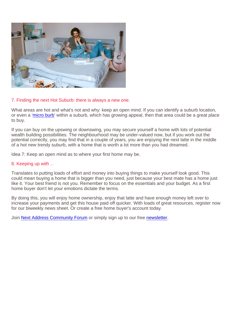#### 7. Finding the next Hot Suburb: there is always a new one.

What areas are hot and what's not and why: keep an open mind. If you can identify a suburb location, or even a '[micro burb](https://www.microburbs.com.au/)' within a suburb, which has growing appeal, then that area could be a great place to buy.

If you can buy on the upswing or downswing, you may secure yourself a home with lots of potential wealth building possibilities. The neighbourhood may be under-valued now, but if you work out the potential correctly, you may find that in a couple of years, you are enjoying the next latte in the middle of a hot new trendy suburb, with a home that is worth a lot more than you had dreamed.

Idea 7: Keep an open mind as to where your first home may be.

#### 8. Keeping up with ..

Translates to putting loads of effort and money into buying things to make yourself look good. This could mean buying a home that is bigger than you need, just because your best mate has a home just like it. Your best friend is not you. Remember to focus on the essentials and your budget. As a first home buyer don't let your emotions dictate the terms.

By doing this, you will enjoy home ownership, enjoy that latte and have enough money left over to increase your payments and get this house paid off quicker. With loads of great resources, register now for our biweekly news sheet. Or create a free home buyer's account today.

Join [Next Address Community Forum](/next-address-community) or simply sign up to our free [newsletter.](/log-in)